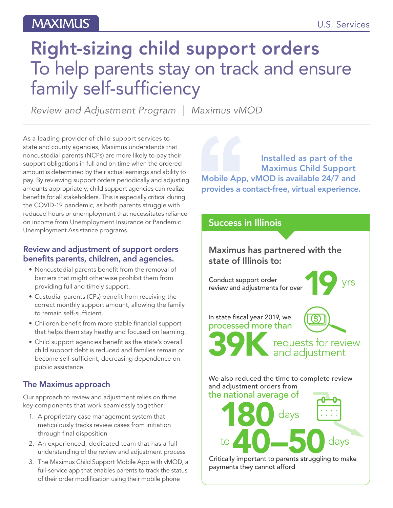## **MAXIMUS**

# Right-sizing child support orders To help parents stay on track and ensure family self-sufficiency

*Review and Adjustment Program | Maximus vMOD*

As a leading provider of child support services to state and county agencies, Maximus understands that noncustodial parents (NCPs) are more likely to pay their support obligations in full and on time when the ordered amount is determined by their actual earnings and ability to pay. By reviewing support orders periodically and adjusting amounts appropriately, child support agencies can realize benefits for all stakeholders. This is especially critical during the COVID-19 pandemic, as both parents struggle with reduced hours or unemployment that necessitates reliance on income from Unemployment Insurance or Pandemic Unemployment Assistance programs.

### Review and adjustment of support orders benefits parents, children, and agencies.

- Noncustodial parents benefit from the removal of barriers that might otherwise prohibit them from providing full and timely support.
- Custodial parents (CPs) benefit from receiving the correct monthly support amount, allowing the family to remain self-sufficient.
- Children benefit from more stable financial support that helps them stay heathy and focused on learning.
- Child support agencies benefit as the state's overall child support debt is reduced and families remain or become self-sufficient, decreasing dependence on public assistance.

### The Maximus approach

Our approach to review and adjustment relies on three key components that work seamlessly together:

- 1. A proprietary case management system that meticulously tracks review cases from initiation through final disposition
- 2. An experienced, dedicated team that has a full understanding of the review and adjustment process
- 3. The Maximus Child Support Mobile App with vMOD, a full-service app that enables parents to track the status of their order modification using their mobile phone

Installed as part of the Maximus Child Support Mobile App, vMOD is available 24/7 and provides a contact-free, virtual experience.

## Success in Illinois Conduct support order<br>review and adjustments for over review and adjustments for over 39K requests for review and adjustment In state fiscal year 2019, we processed more than 180 days We also reduced the time to complete review and adjustment orders from the national average of to **40–50** days<br>Critically important to parents struggling to make payments they cannot afford Maximus has partnered with the state of Illinois to: